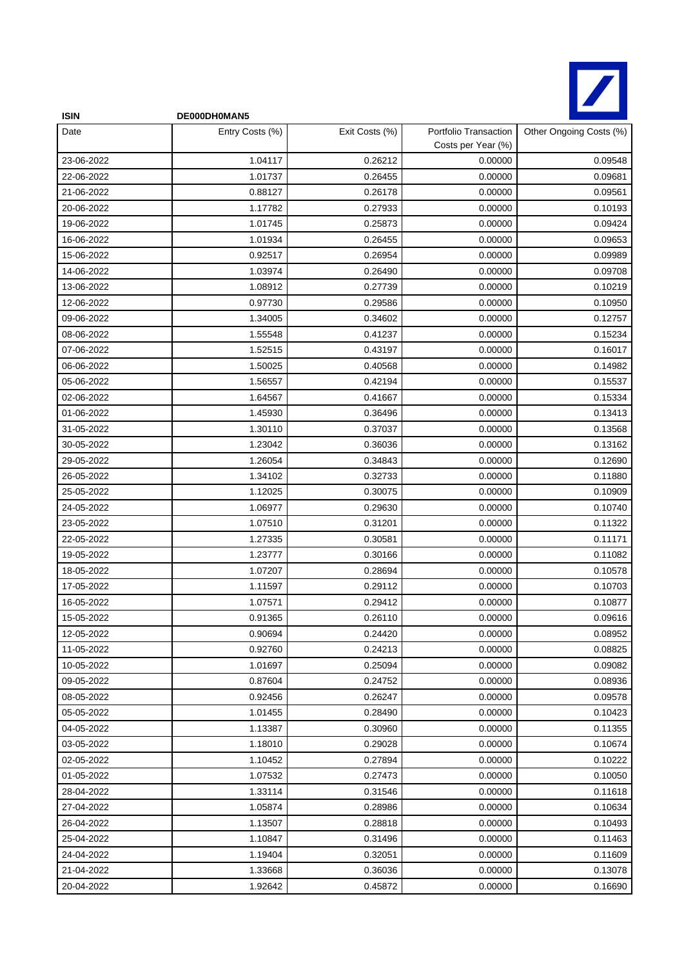

| <b>ISIN</b> | DE000DH0MAN5    |                |                                             |                         |
|-------------|-----------------|----------------|---------------------------------------------|-------------------------|
| Date        | Entry Costs (%) | Exit Costs (%) | Portfolio Transaction<br>Costs per Year (%) | Other Ongoing Costs (%) |
| 23-06-2022  | 1.04117         | 0.26212        | 0.00000                                     | 0.09548                 |
| 22-06-2022  | 1.01737         | 0.26455        | 0.00000                                     | 0.09681                 |
| 21-06-2022  | 0.88127         | 0.26178        | 0.00000                                     | 0.09561                 |
| 20-06-2022  | 1.17782         | 0.27933        | 0.00000                                     | 0.10193                 |
| 19-06-2022  | 1.01745         | 0.25873        | 0.00000                                     | 0.09424                 |
| 16-06-2022  | 1.01934         | 0.26455        | 0.00000                                     | 0.09653                 |
| 15-06-2022  | 0.92517         | 0.26954        | 0.00000                                     | 0.09989                 |
| 14-06-2022  | 1.03974         | 0.26490        | 0.00000                                     | 0.09708                 |
| 13-06-2022  | 1.08912         | 0.27739        | 0.00000                                     | 0.10219                 |
| 12-06-2022  | 0.97730         | 0.29586        | 0.00000                                     | 0.10950                 |
| 09-06-2022  | 1.34005         | 0.34602        | 0.00000                                     | 0.12757                 |
| 08-06-2022  | 1.55548         | 0.41237        | 0.00000                                     | 0.15234                 |
| 07-06-2022  | 1.52515         | 0.43197        | 0.00000                                     | 0.16017                 |
| 06-06-2022  | 1.50025         | 0.40568        | 0.00000                                     | 0.14982                 |
| 05-06-2022  | 1.56557         | 0.42194        | 0.00000                                     | 0.15537                 |
| 02-06-2022  | 1.64567         | 0.41667        | 0.00000                                     | 0.15334                 |
| 01-06-2022  | 1.45930         | 0.36496        | 0.00000                                     | 0.13413                 |
| 31-05-2022  | 1.30110         | 0.37037        | 0.00000                                     | 0.13568                 |
| 30-05-2022  | 1.23042         | 0.36036        | 0.00000                                     | 0.13162                 |
| 29-05-2022  | 1.26054         | 0.34843        | 0.00000                                     | 0.12690                 |
| 26-05-2022  | 1.34102         | 0.32733        | 0.00000                                     | 0.11880                 |
| 25-05-2022  | 1.12025         | 0.30075        | 0.00000                                     | 0.10909                 |
| 24-05-2022  | 1.06977         | 0.29630        | 0.00000                                     | 0.10740                 |
| 23-05-2022  | 1.07510         | 0.31201        | 0.00000                                     | 0.11322                 |
| 22-05-2022  | 1.27335         | 0.30581        | 0.00000                                     | 0.11171                 |
| 19-05-2022  | 1.23777         | 0.30166        | 0.00000                                     | 0.11082                 |
| 18-05-2022  | 1.07207         | 0.28694        | 0.00000                                     | 0.10578                 |
| 17-05-2022  | 1.11597         | 0.29112        | 0.00000                                     | 0.10703                 |
| 16-05-2022  | 1.07571         | 0.29412        | 0.00000                                     | 0.10877                 |
| 15-05-2022  | 0.91365         | 0.26110        | 0.00000                                     | 0.09616                 |
| 12-05-2022  | 0.90694         | 0.24420        | 0.00000                                     | 0.08952                 |
| 11-05-2022  | 0.92760         | 0.24213        | 0.00000                                     | 0.08825                 |
| 10-05-2022  | 1.01697         | 0.25094        | 0.00000                                     | 0.09082                 |
| 09-05-2022  | 0.87604         | 0.24752        | 0.00000                                     | 0.08936                 |
| 08-05-2022  | 0.92456         | 0.26247        | 0.00000                                     | 0.09578                 |
| 05-05-2022  | 1.01455         | 0.28490        | 0.00000                                     | 0.10423                 |
| 04-05-2022  | 1.13387         | 0.30960        | 0.00000                                     | 0.11355                 |
| 03-05-2022  | 1.18010         | 0.29028        | 0.00000                                     | 0.10674                 |
| 02-05-2022  | 1.10452         | 0.27894        | 0.00000                                     | 0.10222                 |
| 01-05-2022  | 1.07532         | 0.27473        | 0.00000                                     | 0.10050                 |
| 28-04-2022  | 1.33114         | 0.31546        | 0.00000                                     | 0.11618                 |
| 27-04-2022  | 1.05874         | 0.28986        | 0.00000                                     | 0.10634                 |
| 26-04-2022  | 1.13507         | 0.28818        | 0.00000                                     | 0.10493                 |
| 25-04-2022  | 1.10847         | 0.31496        | 0.00000                                     | 0.11463                 |
| 24-04-2022  | 1.19404         | 0.32051        | 0.00000                                     | 0.11609                 |
| 21-04-2022  | 1.33668         | 0.36036        | 0.00000                                     | 0.13078                 |
| 20-04-2022  | 1.92642         | 0.45872        | 0.00000                                     | 0.16690                 |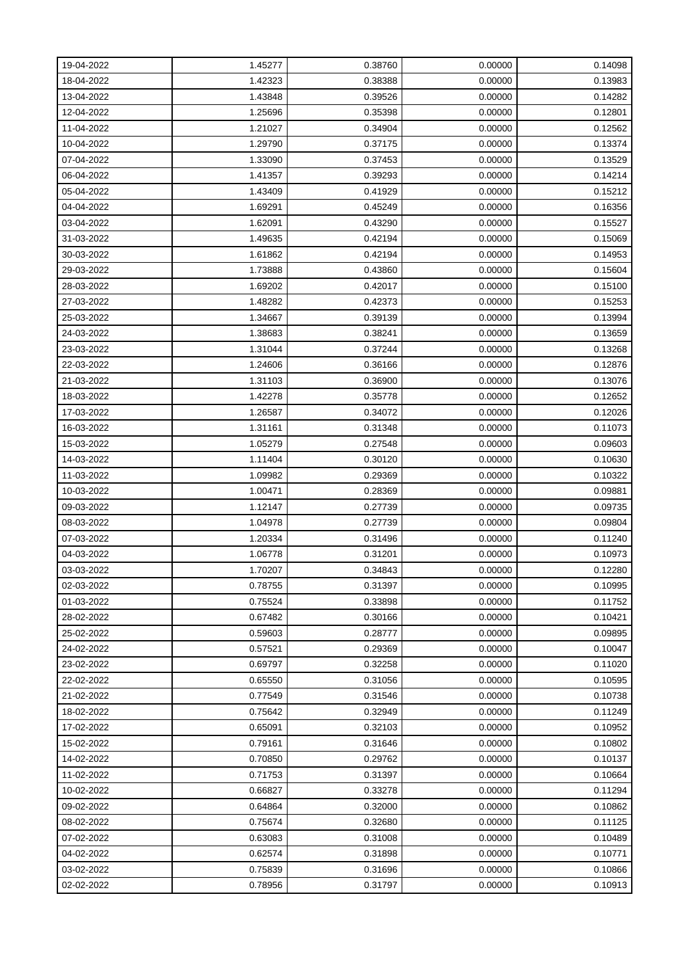| 19-04-2022 | 1.45277 | 0.38760 | 0.00000 | 0.14098 |
|------------|---------|---------|---------|---------|
| 18-04-2022 | 1.42323 | 0.38388 | 0.00000 | 0.13983 |
| 13-04-2022 | 1.43848 | 0.39526 | 0.00000 | 0.14282 |
| 12-04-2022 | 1.25696 | 0.35398 | 0.00000 | 0.12801 |
| 11-04-2022 | 1.21027 | 0.34904 | 0.00000 | 0.12562 |
| 10-04-2022 | 1.29790 | 0.37175 | 0.00000 | 0.13374 |
| 07-04-2022 | 1.33090 | 0.37453 | 0.00000 | 0.13529 |
| 06-04-2022 | 1.41357 | 0.39293 | 0.00000 | 0.14214 |
| 05-04-2022 | 1.43409 | 0.41929 | 0.00000 | 0.15212 |
| 04-04-2022 | 1.69291 | 0.45249 | 0.00000 | 0.16356 |
| 03-04-2022 | 1.62091 | 0.43290 | 0.00000 | 0.15527 |
| 31-03-2022 | 1.49635 | 0.42194 | 0.00000 | 0.15069 |
| 30-03-2022 | 1.61862 | 0.42194 | 0.00000 | 0.14953 |
| 29-03-2022 | 1.73888 | 0.43860 | 0.00000 | 0.15604 |
| 28-03-2022 | 1.69202 | 0.42017 | 0.00000 | 0.15100 |
| 27-03-2022 | 1.48282 | 0.42373 | 0.00000 | 0.15253 |
| 25-03-2022 | 1.34667 | 0.39139 | 0.00000 | 0.13994 |
| 24-03-2022 | 1.38683 | 0.38241 | 0.00000 | 0.13659 |
| 23-03-2022 | 1.31044 | 0.37244 | 0.00000 | 0.13268 |
| 22-03-2022 | 1.24606 | 0.36166 | 0.00000 | 0.12876 |
| 21-03-2022 | 1.31103 | 0.36900 | 0.00000 | 0.13076 |
| 18-03-2022 | 1.42278 | 0.35778 | 0.00000 | 0.12652 |
| 17-03-2022 | 1.26587 | 0.34072 | 0.00000 | 0.12026 |
| 16-03-2022 | 1.31161 | 0.31348 | 0.00000 | 0.11073 |
| 15-03-2022 | 1.05279 | 0.27548 | 0.00000 | 0.09603 |
| 14-03-2022 | 1.11404 | 0.30120 | 0.00000 | 0.10630 |
| 11-03-2022 | 1.09982 | 0.29369 | 0.00000 | 0.10322 |
| 10-03-2022 | 1.00471 | 0.28369 | 0.00000 | 0.09881 |
| 09-03-2022 | 1.12147 | 0.27739 | 0.00000 | 0.09735 |
| 08-03-2022 | 1.04978 | 0.27739 | 0.00000 | 0.09804 |
| 07-03-2022 | 1.20334 | 0.31496 | 0.00000 | 0.11240 |
| 04-03-2022 | 1.06778 | 0.31201 | 0.00000 | 0.10973 |
| 03-03-2022 | 1.70207 | 0.34843 | 0.00000 | 0.12280 |
| 02-03-2022 | 0.78755 | 0.31397 | 0.00000 | 0.10995 |
| 01-03-2022 | 0.75524 | 0.33898 | 0.00000 | 0.11752 |
| 28-02-2022 | 0.67482 | 0.30166 | 0.00000 | 0.10421 |
| 25-02-2022 | 0.59603 | 0.28777 | 0.00000 | 0.09895 |
| 24-02-2022 | 0.57521 | 0.29369 | 0.00000 | 0.10047 |
| 23-02-2022 | 0.69797 | 0.32258 | 0.00000 | 0.11020 |
| 22-02-2022 | 0.65550 | 0.31056 | 0.00000 | 0.10595 |
| 21-02-2022 | 0.77549 | 0.31546 | 0.00000 | 0.10738 |
| 18-02-2022 | 0.75642 | 0.32949 | 0.00000 | 0.11249 |
| 17-02-2022 | 0.65091 | 0.32103 | 0.00000 | 0.10952 |
| 15-02-2022 | 0.79161 | 0.31646 | 0.00000 | 0.10802 |
| 14-02-2022 | 0.70850 | 0.29762 | 0.00000 | 0.10137 |
| 11-02-2022 | 0.71753 | 0.31397 | 0.00000 | 0.10664 |
| 10-02-2022 | 0.66827 | 0.33278 | 0.00000 | 0.11294 |
| 09-02-2022 | 0.64864 | 0.32000 | 0.00000 | 0.10862 |
| 08-02-2022 | 0.75674 | 0.32680 | 0.00000 | 0.11125 |
| 07-02-2022 | 0.63083 | 0.31008 | 0.00000 | 0.10489 |
| 04-02-2022 | 0.62574 | 0.31898 | 0.00000 | 0.10771 |
| 03-02-2022 | 0.75839 | 0.31696 | 0.00000 | 0.10866 |
| 02-02-2022 | 0.78956 | 0.31797 | 0.00000 | 0.10913 |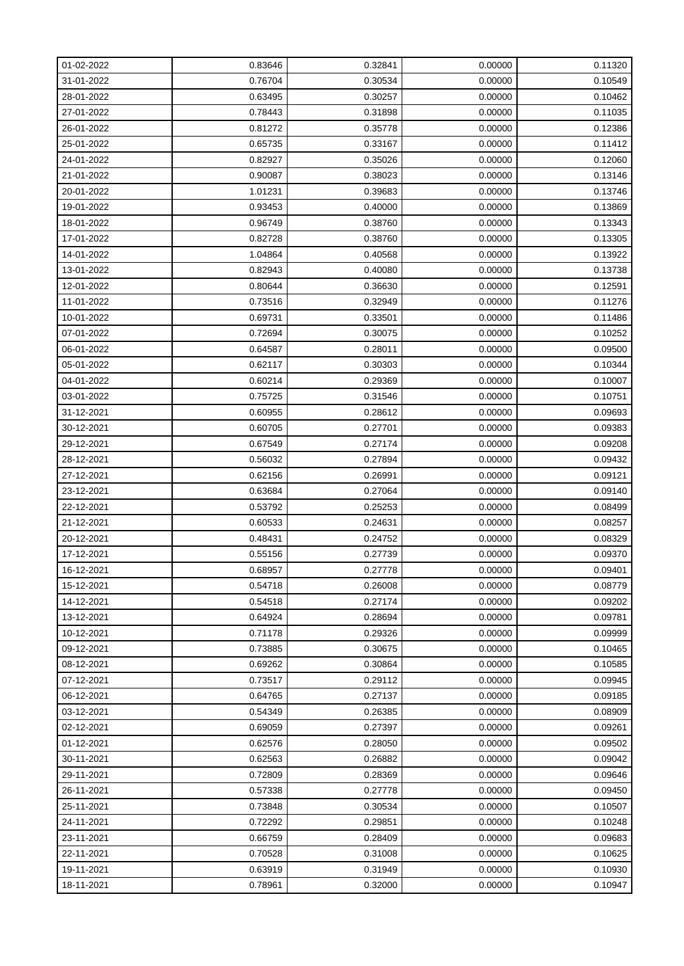| 01-02-2022 | 0.83646 | 0.32841 | 0.00000 | 0.11320 |
|------------|---------|---------|---------|---------|
| 31-01-2022 | 0.76704 | 0.30534 | 0.00000 | 0.10549 |
| 28-01-2022 | 0.63495 | 0.30257 | 0.00000 | 0.10462 |
| 27-01-2022 | 0.78443 | 0.31898 | 0.00000 | 0.11035 |
| 26-01-2022 | 0.81272 | 0.35778 | 0.00000 | 0.12386 |
| 25-01-2022 | 0.65735 | 0.33167 | 0.00000 | 0.11412 |
| 24-01-2022 | 0.82927 | 0.35026 | 0.00000 | 0.12060 |
| 21-01-2022 | 0.90087 | 0.38023 | 0.00000 | 0.13146 |
| 20-01-2022 | 1.01231 | 0.39683 | 0.00000 | 0.13746 |
| 19-01-2022 | 0.93453 | 0.40000 | 0.00000 | 0.13869 |
| 18-01-2022 | 0.96749 | 0.38760 | 0.00000 | 0.13343 |
| 17-01-2022 | 0.82728 | 0.38760 | 0.00000 | 0.13305 |
| 14-01-2022 | 1.04864 | 0.40568 | 0.00000 | 0.13922 |
| 13-01-2022 | 0.82943 | 0.40080 | 0.00000 | 0.13738 |
| 12-01-2022 | 0.80644 | 0.36630 | 0.00000 | 0.12591 |
| 11-01-2022 | 0.73516 | 0.32949 | 0.00000 | 0.11276 |
| 10-01-2022 | 0.69731 | 0.33501 | 0.00000 | 0.11486 |
| 07-01-2022 | 0.72694 | 0.30075 | 0.00000 | 0.10252 |
| 06-01-2022 | 0.64587 | 0.28011 | 0.00000 | 0.09500 |
| 05-01-2022 | 0.62117 | 0.30303 | 0.00000 | 0.10344 |
| 04-01-2022 | 0.60214 | 0.29369 | 0.00000 | 0.10007 |
| 03-01-2022 | 0.75725 | 0.31546 | 0.00000 | 0.10751 |
| 31-12-2021 | 0.60955 | 0.28612 | 0.00000 | 0.09693 |
| 30-12-2021 | 0.60705 | 0.27701 | 0.00000 | 0.09383 |
| 29-12-2021 | 0.67549 | 0.27174 | 0.00000 | 0.09208 |
| 28-12-2021 | 0.56032 | 0.27894 | 0.00000 | 0.09432 |
| 27-12-2021 | 0.62156 | 0.26991 | 0.00000 | 0.09121 |
| 23-12-2021 | 0.63684 | 0.27064 | 0.00000 | 0.09140 |
| 22-12-2021 | 0.53792 | 0.25253 | 0.00000 | 0.08499 |
| 21-12-2021 | 0.60533 | 0.24631 | 0.00000 | 0.08257 |
| 20-12-2021 | 0.48431 | 0.24752 | 0.00000 | 0.08329 |
| 17-12-2021 | 0.55156 | 0.27739 | 0.00000 | 0.09370 |
| 16-12-2021 | 0.68957 | 0.27778 | 0.00000 | 0.09401 |
| 15-12-2021 | 0.54718 | 0.26008 | 0.00000 | 0.08779 |
| 14-12-2021 | 0.54518 | 0.27174 | 0.00000 | 0.09202 |
| 13-12-2021 | 0.64924 | 0.28694 | 0.00000 | 0.09781 |
| 10-12-2021 | 0.71178 | 0.29326 | 0.00000 | 0.09999 |
| 09-12-2021 | 0.73885 | 0.30675 | 0.00000 | 0.10465 |
| 08-12-2021 | 0.69262 | 0.30864 | 0.00000 | 0.10585 |
| 07-12-2021 | 0.73517 | 0.29112 | 0.00000 | 0.09945 |
| 06-12-2021 | 0.64765 | 0.27137 | 0.00000 | 0.09185 |
| 03-12-2021 | 0.54349 | 0.26385 | 0.00000 | 0.08909 |
| 02-12-2021 | 0.69059 | 0.27397 | 0.00000 | 0.09261 |
| 01-12-2021 | 0.62576 | 0.28050 | 0.00000 | 0.09502 |
| 30-11-2021 | 0.62563 | 0.26882 | 0.00000 | 0.09042 |
| 29-11-2021 | 0.72809 | 0.28369 | 0.00000 | 0.09646 |
| 26-11-2021 | 0.57338 | 0.27778 | 0.00000 | 0.09450 |
| 25-11-2021 | 0.73848 | 0.30534 | 0.00000 | 0.10507 |
| 24-11-2021 | 0.72292 | 0.29851 | 0.00000 | 0.10248 |
| 23-11-2021 | 0.66759 | 0.28409 | 0.00000 | 0.09683 |
| 22-11-2021 | 0.70528 | 0.31008 | 0.00000 | 0.10625 |
| 19-11-2021 | 0.63919 | 0.31949 | 0.00000 | 0.10930 |
| 18-11-2021 | 0.78961 | 0.32000 | 0.00000 | 0.10947 |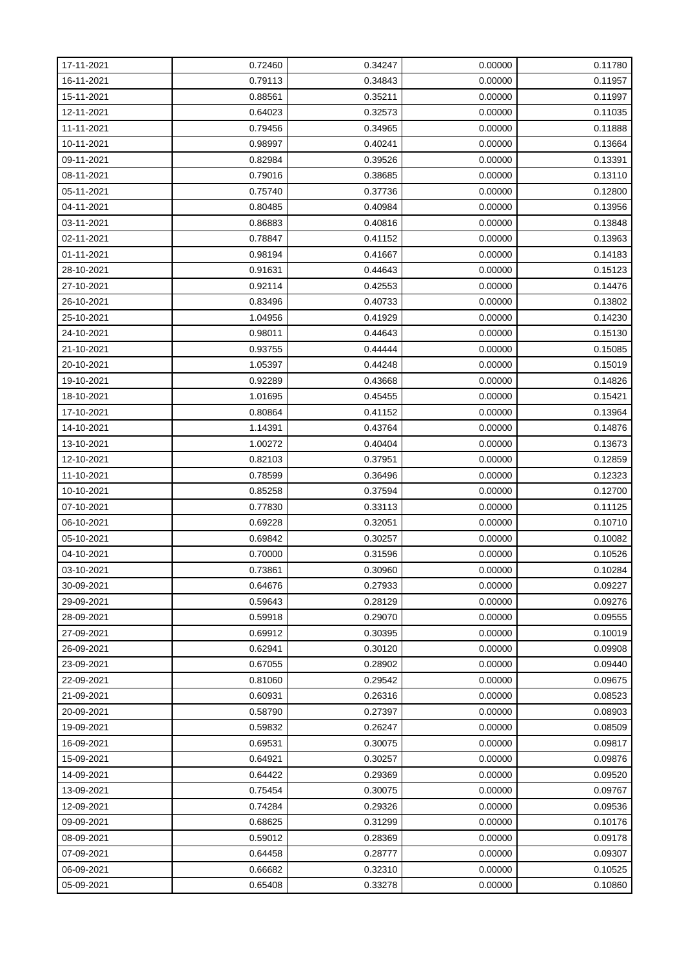| 17-11-2021 | 0.72460 | 0.34247 | 0.00000 | 0.11780 |
|------------|---------|---------|---------|---------|
| 16-11-2021 | 0.79113 | 0.34843 | 0.00000 | 0.11957 |
| 15-11-2021 | 0.88561 | 0.35211 | 0.00000 | 0.11997 |
| 12-11-2021 | 0.64023 | 0.32573 | 0.00000 | 0.11035 |
| 11-11-2021 | 0.79456 | 0.34965 | 0.00000 | 0.11888 |
| 10-11-2021 | 0.98997 | 0.40241 | 0.00000 | 0.13664 |
| 09-11-2021 | 0.82984 | 0.39526 | 0.00000 | 0.13391 |
| 08-11-2021 | 0.79016 | 0.38685 | 0.00000 | 0.13110 |
| 05-11-2021 | 0.75740 | 0.37736 | 0.00000 | 0.12800 |
| 04-11-2021 | 0.80485 | 0.40984 | 0.00000 | 0.13956 |
| 03-11-2021 | 0.86883 | 0.40816 | 0.00000 | 0.13848 |
| 02-11-2021 | 0.78847 | 0.41152 | 0.00000 | 0.13963 |
| 01-11-2021 | 0.98194 | 0.41667 | 0.00000 | 0.14183 |
| 28-10-2021 | 0.91631 | 0.44643 | 0.00000 | 0.15123 |
| 27-10-2021 | 0.92114 | 0.42553 | 0.00000 | 0.14476 |
| 26-10-2021 | 0.83496 | 0.40733 | 0.00000 | 0.13802 |
| 25-10-2021 | 1.04956 | 0.41929 | 0.00000 | 0.14230 |
| 24-10-2021 | 0.98011 | 0.44643 | 0.00000 | 0.15130 |
| 21-10-2021 | 0.93755 | 0.44444 | 0.00000 | 0.15085 |
| 20-10-2021 | 1.05397 | 0.44248 | 0.00000 | 0.15019 |
| 19-10-2021 | 0.92289 | 0.43668 | 0.00000 | 0.14826 |
| 18-10-2021 | 1.01695 | 0.45455 | 0.00000 | 0.15421 |
| 17-10-2021 | 0.80864 | 0.41152 | 0.00000 | 0.13964 |
| 14-10-2021 | 1.14391 | 0.43764 | 0.00000 | 0.14876 |
| 13-10-2021 | 1.00272 | 0.40404 | 0.00000 | 0.13673 |
| 12-10-2021 | 0.82103 | 0.37951 | 0.00000 | 0.12859 |
| 11-10-2021 | 0.78599 | 0.36496 | 0.00000 | 0.12323 |
| 10-10-2021 | 0.85258 | 0.37594 | 0.00000 | 0.12700 |
| 07-10-2021 | 0.77830 | 0.33113 | 0.00000 | 0.11125 |
| 06-10-2021 | 0.69228 | 0.32051 | 0.00000 | 0.10710 |
| 05-10-2021 | 0.69842 | 0.30257 | 0.00000 | 0.10082 |
| 04-10-2021 | 0.70000 | 0.31596 | 0.00000 | 0.10526 |
| 03-10-2021 | 0.73861 | 0.30960 | 0.00000 | 0.10284 |
| 30-09-2021 | 0.64676 | 0.27933 | 0.00000 | 0.09227 |
| 29-09-2021 | 0.59643 | 0.28129 | 0.00000 | 0.09276 |
| 28-09-2021 | 0.59918 | 0.29070 | 0.00000 | 0.09555 |
| 27-09-2021 | 0.69912 | 0.30395 | 0.00000 | 0.10019 |
| 26-09-2021 | 0.62941 | 0.30120 | 0.00000 | 0.09908 |
| 23-09-2021 | 0.67055 | 0.28902 | 0.00000 | 0.09440 |
| 22-09-2021 | 0.81060 | 0.29542 | 0.00000 | 0.09675 |
| 21-09-2021 | 0.60931 | 0.26316 | 0.00000 | 0.08523 |
| 20-09-2021 | 0.58790 | 0.27397 | 0.00000 | 0.08903 |
| 19-09-2021 | 0.59832 | 0.26247 | 0.00000 | 0.08509 |
| 16-09-2021 | 0.69531 | 0.30075 | 0.00000 | 0.09817 |
| 15-09-2021 | 0.64921 | 0.30257 | 0.00000 | 0.09876 |
| 14-09-2021 | 0.64422 | 0.29369 | 0.00000 | 0.09520 |
| 13-09-2021 | 0.75454 | 0.30075 | 0.00000 | 0.09767 |
| 12-09-2021 | 0.74284 | 0.29326 | 0.00000 | 0.09536 |
| 09-09-2021 | 0.68625 | 0.31299 | 0.00000 | 0.10176 |
| 08-09-2021 | 0.59012 | 0.28369 | 0.00000 | 0.09178 |
| 07-09-2021 | 0.64458 | 0.28777 | 0.00000 | 0.09307 |
| 06-09-2021 | 0.66682 | 0.32310 | 0.00000 | 0.10525 |
| 05-09-2021 | 0.65408 | 0.33278 | 0.00000 | 0.10860 |